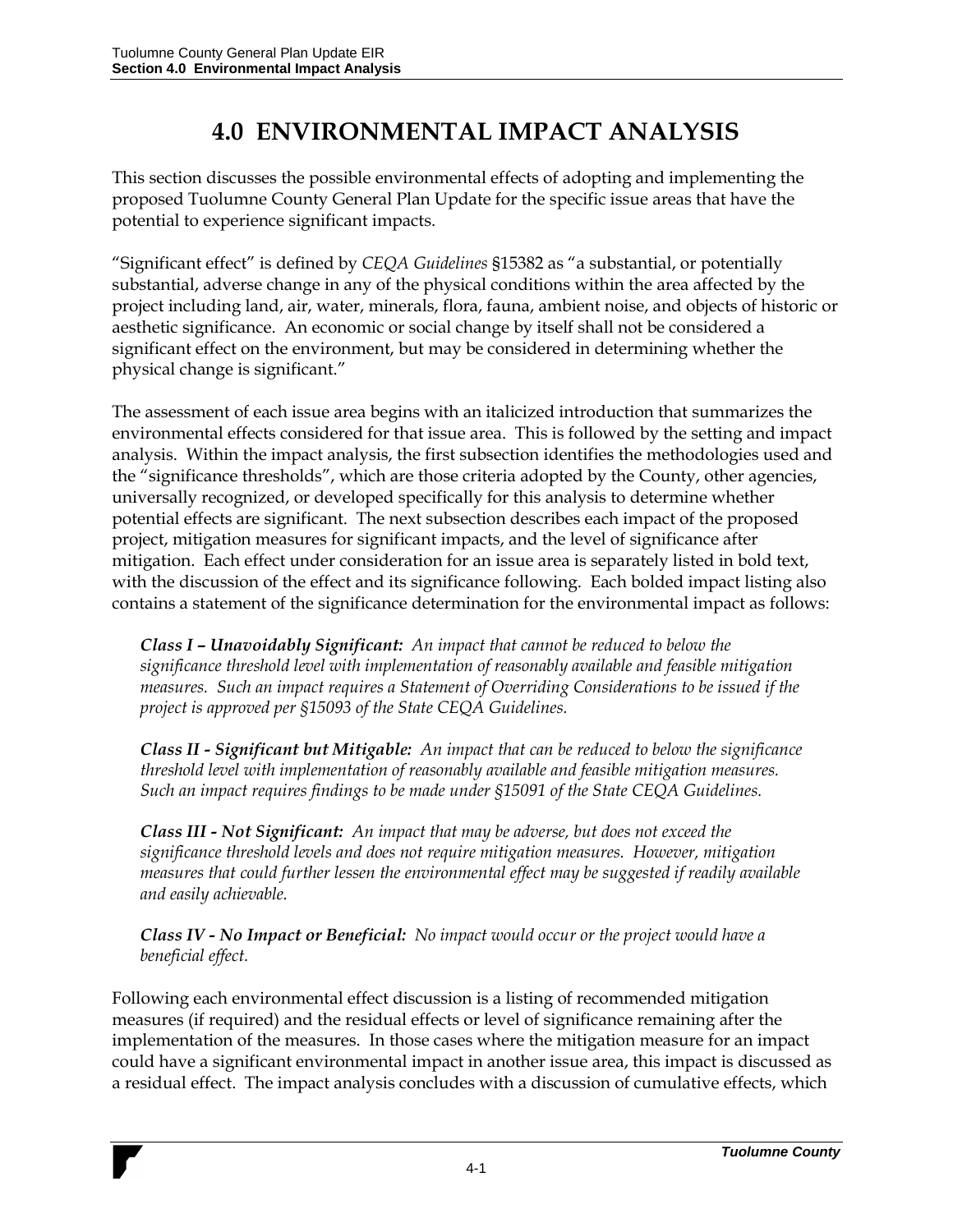## **4.0 ENVIRONMENTAL IMPACT ANALYSIS**

This section discusses the possible environmental effects of adopting and implementing the proposed Tuolumne County General Plan Update for the specific issue areas that have the potential to experience significant impacts.

"Significant effect" is defined by *CEQA Guidelines* §15382 as "a substantial, or potentially substantial, adverse change in any of the physical conditions within the area affected by the project including land, air, water, minerals, flora, fauna, ambient noise, and objects of historic or aesthetic significance. An economic or social change by itself shall not be considered a significant effect on the environment, but may be considered in determining whether the physical change is significant."

The assessment of each issue area begins with an italicized introduction that summarizes the environmental effects considered for that issue area. This is followed by the setting and impact analysis. Within the impact analysis, the first subsection identifies the methodologies used and the "significance thresholds", which are those criteria adopted by the County, other agencies, universally recognized, or developed specifically for this analysis to determine whether potential effects are significant. The next subsection describes each impact of the proposed project, mitigation measures for significant impacts, and the level of significance after mitigation. Each effect under consideration for an issue area is separately listed in bold text, with the discussion of the effect and its significance following. Each bolded impact listing also contains a statement of the significance determination for the environmental impact as follows:

*Class I – Unavoidably Significant: An impact that cannot be reduced to below the significance threshold level with implementation of reasonably available and feasible mitigation measures. Such an impact requires a Statement of Overriding Considerations to be issued if the project is approved per §15093 of the State CEQA Guidelines.*

*Class II - Significant but Mitigable: An impact that can be reduced to below the significance threshold level with implementation of reasonably available and feasible mitigation measures. Such an impact requires findings to be made under §15091 of the State CEQA Guidelines.*

*Class III - Not Significant: An impact that may be adverse, but does not exceed the significance threshold levels and does not require mitigation measures. However, mitigation measures that could further lessen the environmental effect may be suggested if readily available and easily achievable.*

*Class IV - No Impact or Beneficial: No impact would occur or the project would have a beneficial effect.*

Following each environmental effect discussion is a listing of recommended mitigation measures (if required) and the residual effects or level of significance remaining after the implementation of the measures. In those cases where the mitigation measure for an impact could have a significant environmental impact in another issue area, this impact is discussed as a residual effect. The impact analysis concludes with a discussion of cumulative effects, which